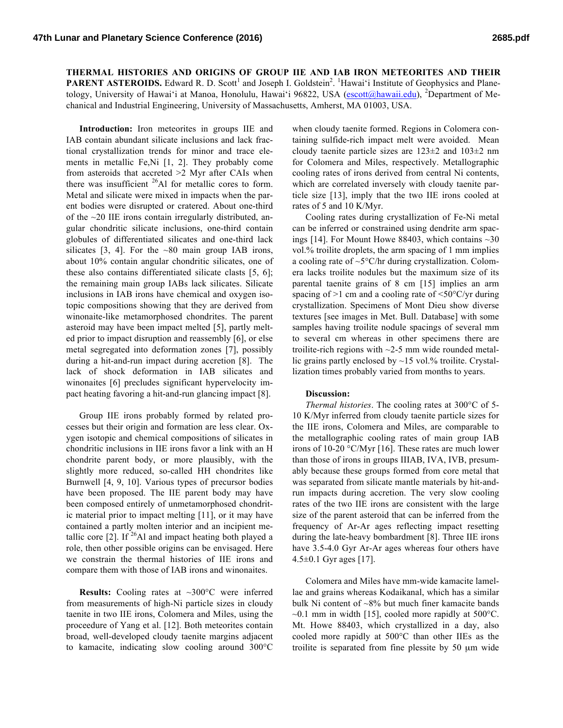**THERMAL HISTORIES AND ORIGINS OF GROUP IIE AND IAB IRON METEORITES AND THEIR PARENT ASTEROIDS.** Edward R. D. Scott<sup>1</sup> and Joseph I. Goldstein<sup>2</sup>. <sup>1</sup>Hawai'i Institute of Geophysics and Planetology, University of Hawai'i at Manoa, Honolulu, Hawai'i 96822, USA (escott@hawaii.edu), <sup>2</sup>Department of Mechanical and Industrial Engineering, University of Massachusetts, Amherst, MA 01003, USA.

**Introduction:** Iron meteorites in groups IIE and IAB contain abundant silicate inclusions and lack fractional crystallization trends for minor and trace elements in metallic Fe,Ni [1, 2]. They probably come from asteroids that accreted >2 Myr after CAIs when there was insufficient  $^{26}$ Al for metallic cores to form. Metal and silicate were mixed in impacts when the parent bodies were disrupted or cratered. About one-third of the  $\sim$ 20 IIE irons contain irregularly distributed, angular chondritic silicate inclusions, one-third contain globules of differentiated silicates and one-third lack silicates  $[3, 4]$ . For the ~80 main group IAB irons, about 10% contain angular chondritic silicates, one of these also contains differentiated silicate clasts [5, 6]; the remaining main group IABs lack silicates. Silicate inclusions in IAB irons have chemical and oxygen isotopic compositions showing that they are derived from winonaite-like metamorphosed chondrites. The parent asteroid may have been impact melted [5], partly melted prior to impact disruption and reassembly [6], or else metal segregated into deformation zones [7], possibly during a hit-and-run impact during accretion [8]. The lack of shock deformation in IAB silicates and winonaites [6] precludes significant hypervelocity impact heating favoring a hit-and-run glancing impact [8].

Group IIE irons probably formed by related processes but their origin and formation are less clear. Oxygen isotopic and chemical compositions of silicates in chondritic inclusions in IIE irons favor a link with an H chondrite parent body, or more plausibly, with the slightly more reduced, so-called HH chondrites like Burnwell [4, 9, 10]. Various types of precursor bodies have been proposed. The IIE parent body may have been composed entirely of unmetamorphosed chondritic material prior to impact melting [11], or it may have contained a partly molten interior and an incipient metallic core  $\lceil 2 \rceil$ . If  $^{26}$ Al and impact heating both played a role, then other possible origins can be envisaged. Here we constrain the thermal histories of IIE irons and compare them with those of IAB irons and winonaites.

**Results:** Cooling rates at ~300°C were inferred from measurements of high-Ni particle sizes in cloudy taenite in two IIE irons, Colomera and Miles, using the proceedure of Yang et al. [12]. Both meteorites contain broad, well-developed cloudy taenite margins adjacent to kamacite, indicating slow cooling around 300°C

when cloudy taenite formed. Regions in Colomera containing sulfide-rich impact melt were avoided. Mean cloudy taenite particle sizes are 123±2 and 103±2 nm for Colomera and Miles, respectively. Metallographic cooling rates of irons derived from central Ni contents, which are correlated inversely with cloudy taenite particle size [13], imply that the two IIE irons cooled at rates of 5 and 10 K/Myr.

Cooling rates during crystallization of Fe-Ni metal can be inferred or constrained using dendrite arm spacings [14]. For Mount Howe 88403, which contains  $\sim$ 30 vol.% troilite droplets, the arm spacing of 1 mm implies a cooling rate of ~5°C/hr during crystallization. Colomera lacks troilite nodules but the maximum size of its parental taenite grains of 8 cm [15] implies an arm spacing of  $>1$  cm and a cooling rate of  $\leq 50^{\circ}$ C/yr during crystallization. Specimens of Mont Dieu show diverse textures [see images in Met. Bull. Database] with some samples having troilite nodule spacings of several mm to several cm whereas in other specimens there are troilite-rich regions with  $\sim$ 2-5 mm wide rounded metallic grains partly enclosed by  $\sim$ 15 vol.% troilite. Crystallization times probably varied from months to years.

## **Discussion:**

*Thermal histories*. The cooling rates at 300°C of 5- 10 K/Myr inferred from cloudy taenite particle sizes for the IIE irons, Colomera and Miles, are comparable to the metallographic cooling rates of main group IAB irons of 10-20 °C/Myr [16]. These rates are much lower than those of irons in groups IIIAB, IVA, IVB, presumably because these groups formed from core metal that was separated from silicate mantle materials by hit-andrun impacts during accretion. The very slow cooling rates of the two IIE irons are consistent with the large size of the parent asteroid that can be inferred from the frequency of Ar-Ar ages reflecting impact resetting during the late-heavy bombardment [8]. Three IIE irons have 3.5-4.0 Gyr Ar-Ar ages whereas four others have 4.5±0.1 Gyr ages [17].

Colomera and Miles have mm-wide kamacite lamellae and grains whereas Kodaikanal, which has a similar bulk Ni content of  $\sim8\%$  but much finer kamacite bands  $\sim$ 0.1 mm in width [15], cooled more rapidly at 500 $^{\circ}$ C. Mt. Howe 88403, which crystallized in a day, also cooled more rapidly at 500°C than other IIEs as the troilite is separated from fine plessite by 50 µm wide